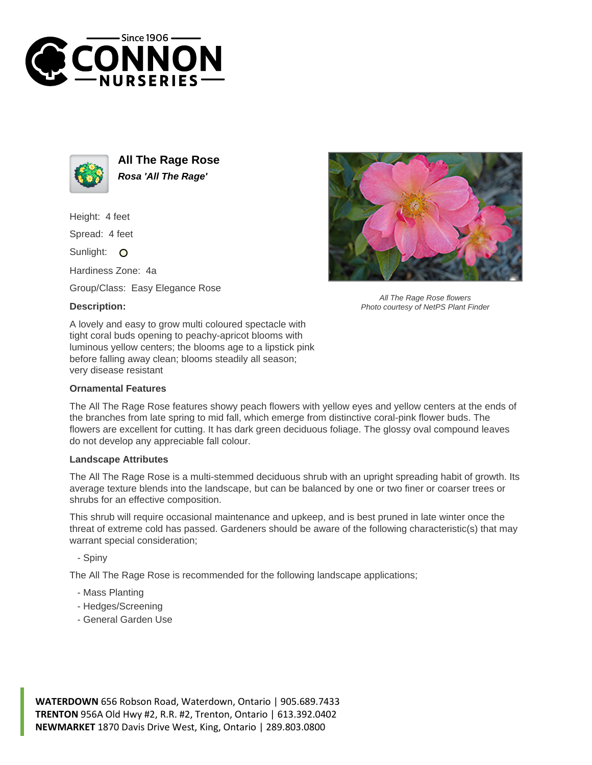



**All The Rage Rose Rosa 'All The Rage'**

Height: 4 feet

Spread: 4 feet

Sunlight: O

Hardiness Zone: 4a

Group/Class: Easy Elegance Rose

## **Description:**



All The Rage Rose flowers Photo courtesy of NetPS Plant Finder

A lovely and easy to grow multi coloured spectacle with tight coral buds opening to peachy-apricot blooms with luminous yellow centers; the blooms age to a lipstick pink before falling away clean; blooms steadily all season; very disease resistant

## **Ornamental Features**

The All The Rage Rose features showy peach flowers with yellow eyes and yellow centers at the ends of the branches from late spring to mid fall, which emerge from distinctive coral-pink flower buds. The flowers are excellent for cutting. It has dark green deciduous foliage. The glossy oval compound leaves do not develop any appreciable fall colour.

## **Landscape Attributes**

The All The Rage Rose is a multi-stemmed deciduous shrub with an upright spreading habit of growth. Its average texture blends into the landscape, but can be balanced by one or two finer or coarser trees or shrubs for an effective composition.

This shrub will require occasional maintenance and upkeep, and is best pruned in late winter once the threat of extreme cold has passed. Gardeners should be aware of the following characteristic(s) that may warrant special consideration;

- Spiny

The All The Rage Rose is recommended for the following landscape applications;

- Mass Planting
- Hedges/Screening
- General Garden Use

**WATERDOWN** 656 Robson Road, Waterdown, Ontario | 905.689.7433 **TRENTON** 956A Old Hwy #2, R.R. #2, Trenton, Ontario | 613.392.0402 **NEWMARKET** 1870 Davis Drive West, King, Ontario | 289.803.0800